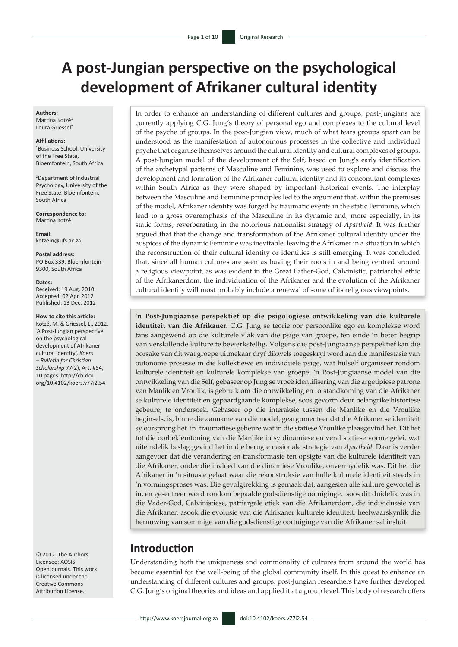# **A post-Jungian perspective on the psychological development of Afrikaner cultural identity**

#### **Authors:**

Martina Kotzé1 Loura Griessel<sup>2</sup>

#### **Affiliations:**

1 Business School, University of the Free State, Bloemfontein, South Africa

2 Department of Industrial Psychology, University of the Free State, Bloemfontein, South Africa

**Correspondence to:** Martina Kotzé

**Email:** [kotzem@ufs.ac.za](mailto:kotzem.ekw@ufs.ac.za)

**Postal address:** PO Box 339, Bloemfontein 9300, South Africa

#### **Dates:**

Received: 19 Aug. 2010 Accepted: 02 Apr. 2012 Published: 13 Dec. 2012

#### **How to cite this article:**

Kotzé, M. & Griessel, L., 2012, 'A Post-Jungian perspective on the psychological development of Afrikaner cultural identity', *Koers – Bulletin for Christian Scholarship* 77(2), Art. #54, 10 pages. http://dx.doi. org/10.4102/koers.v77i2.54

© 2012. The Authors. Licensee: AOSIS OpenJournals. This work is licensed under the Creative Commons Attribution License.

In order to enhance an understanding of different cultures and groups, post-Jungians are currently applying C.G. Jung's theory of personal ego and complexes to the cultural level of the psyche of groups. In the post-Jungian view, much of what tears groups apart can be understood as the manifestation of autonomous processes in the collective and individual psyche that organise themselves around the cultural identity and cultural complexes of groups. A post-Jungian model of the development of the Self, based on Jung's early identification of the archetypal patterns of Masculine and Feminine, was used to explore and discuss the development and formation of the Afrikaner cultural identity and its concomitant complexes within South Africa as they were shaped by important historical events. The interplay between the Masculine and Feminine principles led to the argument that, within the premises of the model, Afrikaner identity was forged by traumatic events in the static Feminine, which lead to a gross overemphasis of the Masculine in its dynamic and, more especially, in its static forms, reverberating in the notorious nationalist strategy of *Apartheid*. It was further argued that that the change and transformation of the Afrikaner cultural identity under the auspices of the dynamic Feminine was inevitable, leaving the Afrikaner in a situation in which the reconstruction of their cultural identity or identities is still emerging. It was concluded that, since all human cultures are seen as having their roots in and being centred around a religious viewpoint, as was evident in the Great Father-God, Calvinistic, patriarchal ethic of the Afrikanerdom, the individuation of the Afrikaner and the evolution of the Afrikaner cultural identity will most probably include a renewal of some of its religious viewpoints.

**'n Post-Jungiaanse perspektief op die psigologiese ontwikkeling van die kulturele identiteit van die Afrikaner.** C.G. Jung se teorie oor persoonlike ego en komplekse word tans aangewend op die kulturele vlak van die psige van groepe, ten einde 'n beter begrip van verskillende kulture te bewerkstellig. Volgens die post-Jungiaanse perspektief kan die oorsake van dit wat groepe uitmekaar dryf dikwels toegeskryf word aan die manifestasie van outonome prosesse in die kollektiewe en individuele psige, wat hulself organiseer rondom kulturele identiteit en kulturele komplekse van groepe. 'n Post-Jungiaanse model van die ontwikkeling van die Self, gebaseer op Jung se vroeë identifisering van die argetipiese patrone van Manlik en Vroulik, is gebruik om die ontwikkeling en totstandkoming van die Afrikaner se kulturele identiteit en gepaardgaande komplekse, soos gevorm deur belangrike historiese gebeure, te ondersoek. Gebaseer op die interaksie tussen die Manlike en die Vroulike beginsels, is, binne die aanname van die model, geargumenteer dat die Afrikaner se identiteit sy oorsprong het in traumatiese gebeure wat in die statiese Vroulike plaasgevind het. Dit het tot die oorbeklemtoning van die Manlike in sy dinamiese en veral statiese vorme gelei, wat uiteindelik beslag gevind het in die berugte nasionale strategie van *Apartheid*. Daar is verder aangevoer dat die verandering en transformasie ten opsigte van die kulturele identiteit van die Afrikaner, onder die invloed van die dinamiese Vroulike, onvermydelik was. Dit het die Afrikaner in 'n situasie gelaat waar die rekonstruksie van hulle kulturele identiteit steeds in 'n vormingsproses was. Die gevolgtrekking is gemaak dat, aangesien alle kulture gewortel is in, en gesentreer word rondom bepaalde godsdienstige ootuiginge, soos dit duidelik was in die Vader-God, Calvinistiese, patriargale etiek van die Afrikanerdom, die individuasie van die Afrikaner, asook die evolusie van die Afrikaner kulturele identiteit, heelwaarskynlik die hernuwing van sommige van die godsdienstige oortuiginge van die Afrikaner sal insluit.

## **Introduction**

Understanding both the uniqueness and commonality of cultures from around the world has become essential for the well-being of the global community itself. In this quest to enhance an understanding of different cultures and groups, post-Jungian researchers have further developed C.G. Jung's original theories and ideas and applied it at a group level. This body of research offers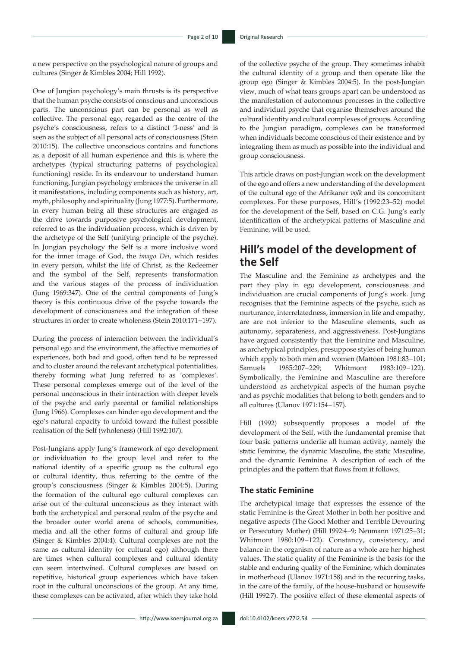a new perspective on the psychological nature of groups and cultures (Singer & Kimbles 2004; Hill 1992).

One of Jungian psychology's main thrusts is its perspective that the human psyche consists of conscious and unconscious parts. The unconscious part can be personal as well as collective. The personal ego, regarded as the centre of the psyche's consciousness, refers to a distinct 'I-ness' and is seen as the subject of all personal acts of consciousness (Stein 2010:15). The collective unconscious contains and functions as a deposit of all human experience and this is where the archetypes (typical structuring patterns of psychological functioning) reside. In its endeavour to understand human functioning, Jungian psychology embraces the universe in all it manifestations, including components such as history, art, myth, philosophy and spirituality (Jung 1977:5). Furthermore, in every human being all these structures are engaged as the drive towards purposive psychological development, referred to as the individuation process, which is driven by the archetype of the Self (unifying principle of the psyche). In Jungian psychology the Self is a more inclusive word for the inner image of God, the *imago Dei*, which resides in every person, whilst the life of Christ, as the Redeemer and the symbol of the Self, represents transformation and the various stages of the process of individuation (Jung 1969:347). One of the central components of Jung's theory is this continuous drive of the psyche towards the development of consciousness and the integration of these structures in order to create wholeness (Stein 2010:171−197).

During the process of interaction between the individual's personal ego and the environment, the affective memories of experiences, both bad and good, often tend to be repressed and to cluster around the relevant archetypical potentialities, thereby forming what Jung referred to as 'complexes'. These personal complexes emerge out of the level of the personal unconscious in their interaction with deeper levels of the psyche and early parental or familial relationships (Jung 1966). Complexes can hinder ego development and the ego's natural capacity to unfold toward the fullest possible realisation of the Self (wholeness) (Hill 1992:107).

Post-Jungians apply Jung's framework of ego development or individuation to the group level and refer to the national identity of a specific group as the cultural ego or cultural identity, thus referring to the centre of the group's consciousness (Singer & Kimbles 2004:5). During the formation of the cultural ego cultural complexes can arise out of the cultural unconscious as they interact with both the archetypical and personal realm of the psyche and the broader outer world arena of schools, communities, media and all the other forms of cultural and group life (Singer & Kimbles 2004:4). Cultural complexes are not the same as cultural identity (or cultural ego) although there are times when cultural complexes and cultural identity can seem intertwined. Cultural complexes are based on repetitive, historical group experiences which have taken root in the cultural unconscious of the group. At any time, these complexes can be activated, after which they take hold

of the collective psyche of the group. They sometimes inhabit the cultural identity of a group and then operate like the group ego (Singer & Kimbles 2004:5). In the post-Jungian view, much of what tears groups apart can be understood as the manifestation of autonomous processes in the collective and individual psyche that organise themselves around the cultural identity and cultural complexes of groups. According to the Jungian paradigm, complexes can be transformed when individuals become conscious of their existence and by integrating them as much as possible into the individual and group consciousness.

This article draws on post-Jungian work on the development of the ego and offers a new understanding of the development of the cultural ego of the Afrikaner *volk* and its concomitant complexes. For these purposes, Hill's (1992:23–52) model for the development of the Self, based on C.G. Jung's early identification of the archetypical patterns of Masculine and Feminine, will be used.

# **Hill's model of the development of the Self**

The Masculine and the Feminine as archetypes and the part they play in ego development, consciousness and individuation are crucial components of Jung's work. Jung recognises that the Feminine aspects of the psyche, such as nurturance, interrelatedness, immersion in life and empathy, are are not inferior to the Masculine elements, such as autonomy, separateness, and aggressiveness. Post-Jungians have argued consistently that the Feminine and Masculine, as archetypical principles, presuppose styles of being human which apply to both men and women (Mattoon 1981:83−101; Samuels 1985:207−229; Whitmont 1983:109−122). Symbolically, the Feminine and Masculine are therefore understood as archetypical aspects of the human psyche and as psychic modalities that belong to both genders and to all cultures (Ulanov 1971:154−157).

Hill (1992) subsequently proposes a model of the development of the Self, with the fundamental premise that four basic patterns underlie all human activity, namely the static Feminine, the dynamic Masculine, the static Masculine, and the dynamic Feminine. A description of each of the principles and the pattern that flows from it follows.

#### **The static Feminine**

The archetypical image that expresses the essence of the static Feminine is the Great Mother in both her positive and negative aspects (The Good Mother and Terrible Devouring or Persecutory Mother) (Hill 1992:4−9; Neumann 1971:25−31; Whitmont 1980:109−122). Constancy, consistency, and balance in the organism of nature as a whole are her highest values. The static quality of the Feminine is the basis for the stable and enduring quality of the Feminine, which dominates in motherhood (Ulanov 1971:158) and in the recurring tasks, in the care of the family, of the house-husband or housewife (Hill 1992:7). The positive effect of these elemental aspects of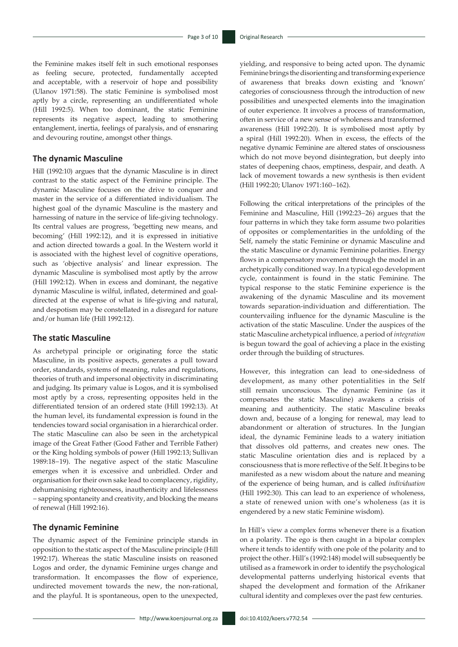the Feminine makes itself felt in such emotional responses as feeling secure, protected, fundamentally accepted and acceptable, with a reservoir of hope and possibility (Ulanov 1971:58). The static Feminine is symbolised most aptly by a circle, representing an undifferentiated whole (Hill 1992:5). When too dominant, the static Feminine represents its negative aspect, leading to smothering entanglement, inertia, feelings of paralysis, and of ensnaring and devouring routine, amongst other things.

### **The dynamic Masculine**

Hill (1992:10) argues that the dynamic Masculine is in direct contrast to the static aspect of the Feminine principle. The dynamic Masculine focuses on the drive to conquer and master in the service of a differentiated individualism. The highest goal of the dynamic Masculine is the mastery and harnessing of nature in the service of life-giving technology. Its central values are progress, 'begetting new means, and becoming' (Hill 1992:12), and it is expressed in initiative and action directed towards a goal. In the Western world it is associated with the highest level of cognitive operations, such as 'objective analysis' and linear expression. The dynamic Masculine is symbolised most aptly by the arrow (Hill 1992:12). When in excess and dominant, the negative dynamic Masculine is wilful, inflated, determined and goaldirected at the expense of what is life-giving and natural, and despotism may be constellated in a disregard for nature and/or human life (Hill 1992:12).

### **The static Masculine**

As archetypal principle or originating force the static Masculine, in its positive aspects, generates a pull toward order, standards, systems of meaning, rules and regulations, theories of truth and impersonal objectivity in discriminating and judging. Its primary value is Logos, and it is symbolised most aptly by a cross, representing opposites held in the differentiated tension of an ordered state (Hill 1992:13). At the human level, its fundamental expression is found in the tendencies toward social organisation in a hierarchical order. The static Masculine can also be seen in the archetypical image of the Great Father (Good Father and Terrible Father) or the King holding symbols of power (Hill 1992:13; Sullivan 1989:18−19). The negative aspect of the static Masculine emerges when it is excessive and unbridled. Order and organisation for their own sake lead to complacency, rigidity, dehumanising righteousness, inauthenticity and lifelessness − sapping spontaneity and creativity, and blocking the means of renewal (Hill 1992:16).

### **The dynamic Feminine**

The dynamic aspect of the Feminine principle stands in opposition to the static aspect of the Masculine principle (Hill 1992:17). Whereas the static Masculine insists on reasoned Logos and order, the dynamic Feminine urges change and transformation. It encompasses the flow of experience, undirected movement towards the new, the non-rational, and the playful. It is spontaneous, open to the unexpected,

yielding, and responsive to being acted upon. The dynamic Feminine brings the disorienting and transforming experience of awareness that breaks down existing and 'known' categories of consciousness through the introduction of new possibilities and unexpected elements into the imagination of outer experience. It involves a process of transformation, often in service of a new sense of wholeness and transformed awareness (Hill 1992:20). It is symbolised most aptly by a spiral (Hill 1992:20). When in excess, the effects of the negative dynamic Feminine are altered states of onsciousness which do not move beyond disintegration, but deeply into states of deepening chaos, emptiness, despair, and death. A lack of movement towards a new synthesis is then evident (Hill 1992:20; Ulanov 1971:160−162).

Following the critical interpretations of the principles of the Feminine and Masculine, Hill (1992:23−26) argues that the four patterns in which they take form assume two polarities of opposites or complementarities in the unfolding of the Self, namely the static Feminine or dynamic Masculine and the static Masculine or dynamic Feminine polarities. Energy flows in a compensatory movement through the model in an archetypically conditioned way. In a typical ego development cycle, containment is found in the static Feminine. The typical response to the static Feminine experience is the awakening of the dynamic Masculine and its movement towards separation-individuation and differentiation. The countervailing influence for the dynamic Masculine is the activation of the static Masculine. Under the auspices of the static Masculine archetypical influence*,* a period of *integration* is begun toward the goal of achieving a place in the existing order through the building of structures.

However, this integration can lead to one-sidedness of development, as many other potentialities in the Self still remain unconscious. The dynamic Feminine (as it compensates the static Masculine) awakens a crisis of meaning and authenticity. The static Masculine breaks down and, because of a longing for renewal, may lead to abandonment or alteration of structures. In the Jungian ideal, the dynamic Feminine leads to a watery initiation that dissolves old patterns, and creates new ones. The static Masculine orientation dies and is replaced by a consciousness that is more reflective of the Self. It begins to be manifested as a new wisdom about the nature and meaning of the experience of being human, and is called *individuation*  (Hill 1992:30)*.* This can lead to an experience of wholeness, a state of renewed union with one's wholeness (as it is engendered by a new static Feminine wisdom).

In Hill's view a complex forms whenever there is a fixation on a polarity. The ego is then caught in a bipolar complex where it tends to identify with one pole of the polarity and to project the other. Hill's (1992:148) model will subsequently be utilised as a framework in order to identify the psychological developmental patterns underlying historical events that shaped the development and formation of the Afrikaner cultural identity and complexes over the past few centuries.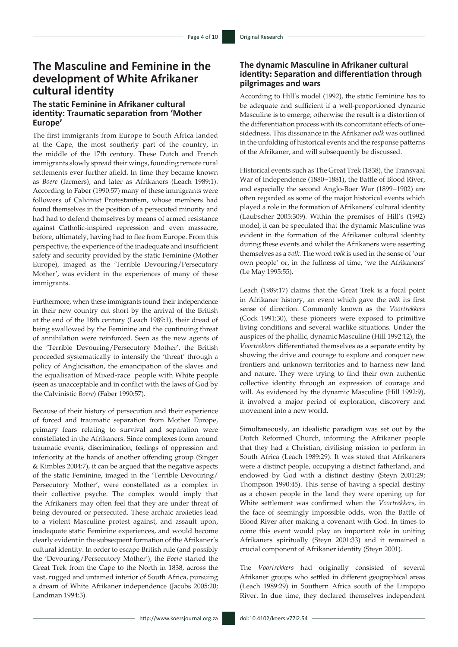# **The Masculine and Feminine in the development of White Afrikaner cultural identity**

### **The static Feminine in Afrikaner cultural identity: Traumatic separation from 'Mother Europe'**

The first immigrants from Europe to South Africa landed at the Cape, the most southerly part of the country, in the middle of the 17th century. These Dutch and French immigrants slowly spread their wings, founding remote rural settlements ever further afield. In time they became known as *Boere* (farmers), and later as Afrikaners (Leach 1989:1). According to Faber (1990:57) many of these immigrants were followers of Calvinist Protestantism, whose members had found themselves in the position of a persecuted minority and had had to defend themselves by means of armed resistance against Catholic-inspired repression and even massacre, before, ultimately, having had to flee from Europe. From this perspective, the experience of the inadequate and insufficient safety and security provided by the static Feminine (Mother Europe), imaged as the 'Terrible Devouring/Persecutory Mother', was evident in the experiences of many of these immigrants.

Furthermore, when these immigrants found their independence in their new country cut short by the arrival of the British at the end of the 18th century (Leach 1989:1), their dread of being swallowed by the Feminine and the continuing threat of annihilation were reinforced. Seen as the new agents of the 'Terrible Devouring/Persecutory Mother', the British proceeded systematically to intensify the 'threat' through a policy of Anglicisation, the emancipation of the slaves and the equalisation of Mixed-race people with White people (seen as unacceptable and in conflict with the laws of God by the Calvinistic *Boere*) (Faber 1990:57).

Because of their history of persecution and their experience of forced and traumatic separation from Mother Europe, primary fears relating to survival and separation were constellated in the Afrikaners. Since complexes form around traumatic events, discrimination, feelings of oppression and inferiority at the hands of another offending group (Singer & Kimbles 2004:7), it can be argued that the negative aspects of the static Feminine, imaged in the 'Terrible Devouring/ Persecutory Mother', were constellated as a complex in their collective psyche. The complex would imply that the Afrikaners may often feel that they are under threat of being devoured or persecuted. These archaic anxieties lead to a violent Masculine protest against, and assault upon, inadequate static Feminine experiences, and would become clearly evident in the subsequent formation of the Afrikaner's cultural identity. In order to escape British rule (and possibly the 'Devouring/Persecutory Mother'), the *Boere* started the Great Trek from the Cape to the North in 1838, across the vast, rugged and untamed interior of South Africa, pursuing a dream of White Afrikaner independence (Jacobs 2005:20; Landman 1994:3).

### **The dynamic Masculine in Afrikaner cultural identity: Separation and differentiation through pilgrimages and wars**

According to Hill's model (1992), the static Feminine has to be adequate and sufficient if a well-proportioned dynamic Masculine is to emerge; otherwise the result is a distortion of the differentiation process with its concomitant effects of onesidedness. This dissonance in the Afrikaner *volk* was outlined in the unfolding of historical events and the response patterns of the Afrikaner, and will subsequently be discussed.

Historical events such as The Great Trek (1838), the Transvaal War of Independence (1880−1881), the Battle of Blood River, and especially the second Anglo-Boer War (1899−1902) are often regarded as some of the major historical events which played a role in the formation of Afrikaners' cultural identity (Laubscher 2005:309). Within the premises of Hill's (1992) model, it can be speculated that the dynamic Masculine was evident in the formation of the Afrikaner cultural identity during these events and whilst the Afrikaners were asserting themselves as a *volk.* The word *volk* is used in the sense of 'our own people' or, in the fullness of time, 'we the Afrikaners' (Le May 1995:55).

Leach (1989:17) claims that the Great Trek is a focal point in Afrikaner history, an event which gave the *volk* its first sense of direction. Commonly known as the *Voortrekkers*  (Cock 1991:30), these pioneers were exposed to primitive living conditions and several warlike situations. Under the auspices of the phallic, dynamic Masculine (Hill 1992:12), the *Voortrekkers* differentiated themselves as a separate entity by showing the drive and courage to explore and conquer new frontiers and unknown territories and to harness new land and nature. They were trying to find their own authentic collective identity through an expression of courage and will. As evidenced by the dynamic Masculine (Hill 1992:9), it involved a major period of exploration, discovery and movement into a new world.

Simultaneously, an idealistic paradigm was set out by the Dutch Reformed Church, informing the Afrikaner people that they had a Christian, civilising mission to perform in South Africa (Leach 1989:29). It was stated that Afrikaners were a distinct people, occupying a distinct fatherland, and endowed by God with a distinct destiny (Steyn 2001:29; Thompson 1990:45). This sense of having a special destiny as a chosen people in the land they were opening up for White settlement was confirmed when the *Voortrekkers,* in the face of seemingly impossible odds, won the Battle of Blood River after making a covenant with God. In times to come this event would play an important role in uniting Afrikaners spiritually (Steyn 2001:33) and it remained a crucial component of Afrikaner identity (Steyn 2001).

The *Voortrekkers* had originally consisted of several Afrikaner groups who settled in different geographical areas (Leach 1989:29) in Southern Africa south of the Limpopo River. In due time, they declared themselves independent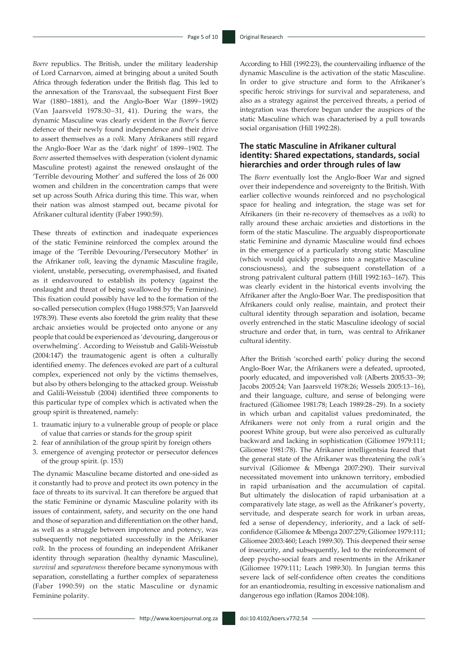*Boere* republics. The British, under the military leadership of Lord Carnarvon, aimed at bringing about a united South Africa through federation under the British flag. This led to the annexation of the Transvaal, the subsequent First Boer War (1880−1881), and the Anglo-Boer War (1899−1902) (Van Jaarsveld 1978:30−31, 41). During the wars, the dynamic Masculine was clearly evident in the *Boere*'s fierce defence of their newly found independence and their drive to assert themselves as a *volk.* Many Afrikaners still regard the Anglo-Boer War as the 'dark night' of 1899−1902. The *Boere* asserted themselves with desperation (violent dynamic Masculine protest) against the renewed onslaught of the 'Terrible devouring Mother' and suffered the loss of 26 000 women and children in the concentration camps that were set up across South Africa during this time. This war, when their nation was almost stamped out, became pivotal for Afrikaner cultural identity (Faber 1990:59).

These threats of extinction and inadequate experiences of the static Feminine reinforced the complex around the image of the 'Terrible Devouring/Persecutory Mother' in the Afrikaner *volk*, leaving the dynamic Masculine fragile, violent, unstable, persecuting, overemphasised, and fixated as it endeavoured to establish its potency (against the onslaught and threat of being swallowed by the Feminine). This fixation could possibly have led to the formation of the so-called persecution complex (Hugo 1988:575; Van Jaarsveld 1978:39). These events also foretold the grim reality that these archaic anxieties would be projected onto anyone or any people that could be experienced as 'devouring, dangerous or overwhelming'. According to Weisstub and Galili-Weisstub (2004:147) the traumatogenic agent is often a culturally identified enemy. The defences evoked are part of a cultural complex, experienced not only by the victims themselves, but also by others belonging to the attacked group. Weisstub and Galili-Weisstub (2004) identified three components to this particular type of complex which is activated when the group spirit is threatened, namely:

- 1. traumatic injury to a vulnerable group of people or place of value that carries or stands for the group spirit
- 2. fear of annihilation of the group spirit by foreign others
- 3. emergence of avenging protector or persecutor defences of the group spirit. (p. 153)

The dynamic Masculine became distorted and one-sided as it constantly had to prove and protect its own potency in the face of threats to its survival. It can therefore be argued that the static Feminine or dynamic Masculine polarity with its issues of containment, safety, and security on the one hand and those of separation and differentiation on the other hand, as well as a struggle between impotence and potency, was subsequently not negotiated successfully in the Afrikaner *volk*. In the process of founding an independent Afrikaner identity through separation (healthy dynamic Masculine), *survival* and *separateness* therefore became synonymous with separation, constellating a further complex of separateness (Faber 1990:59) on the static Masculine or dynamic Feminine polarity.

According to Hill (1992:23), the countervailing influence of the dynamic Masculine is the activation of the static Masculine. In order to give structure and form to the Afrikaner's specific heroic strivings for survival and separateness, and also as a strategy against the perceived threats, a period of integration was therefore begun under the auspices of the static Masculine which was characterised by a pull towards social organisation (Hill 1992:28).

### **The static Masculine in Afrikaner cultural identity: Shared expectations, standards, social hierarchies and order through rules of law**

The *Boere* eventually lost the Anglo-Boer War and signed over their independence and sovereignty to the British. With earlier collective wounds reinforced and no psychological space for healing and integration, the stage was set for Afrikaners (in their re-recovery of themselves as a *volk*) to rally around these archaic anxieties and distortions in the form of the static Masculine. The arguably disproportionate static Feminine and dynamic Masculine would find echoes in the emergence of a particularly strong static Masculine (which would quickly progress into a negative Masculine consciousness), and the subsequent constellation of a strong patrivalent cultural pattern (Hill 1992:163−167). This was clearly evident in the historical events involving the Afrikaner after the Anglo-Boer War. The predisposition that Afrikaners could only realise, maintain, and protect their cultural identity through separation and isolation, became overly entrenched in the static Masculine ideology of social structure and order that, in turn, was central to Afrikaner cultural identity.

After the British 'scorched earth' policy during the second Anglo-Boer War, the Afrikaners were a defeated, uprooted, poorly educated, and impoverished v*olk* (Alberts 2005:33−39; Jacobs 2005:24; Van Jaarsveld 1978:26; Wessels 2005:13−16), and their language, culture, and sense of belonging were fractured (Giliomee 1981:78; Leach 1989:28−29). In a society in which urban and capitalist values predominated, the Afrikaners were not only from a rural origin and the poorest White group, but were also perceived as culturally backward and lacking in sophistication (Giliomee 1979:111; Giliomee 1981:78). The Afrikaner intelligentsia feared that the general state of the Afrikaner was threatening the *volk'*s survival (Giliomee & Mbenga 2007:290). Their survival necessitated movement into unknown territory, embodied in rapid urbanisation and the accumulation of capital. But ultimately the dislocation of rapid urbanisation at a comparatively late stage, as well as the Afrikaner's poverty, servitude, and desperate search for work in urban areas, fed a sense of dependency, inferiority, and a lack of selfconfidence (Giliomee & Mbenga 2007:279; Giliomee 1979:111; Giliomee 2003:460; Leach 1989:30). This deepened their sense of insecurity, and subsequently, led to the reinforcement of deep psycho-social fears and resentments in the Afrikaner (Giliomee 1979:111; Leach 1989:30). In Jungian terms this severe lack of self-confidence often creates the conditions for an enantiodromia, resulting in excessive nationalism and dangerous ego inflation (Ramos 2004:108).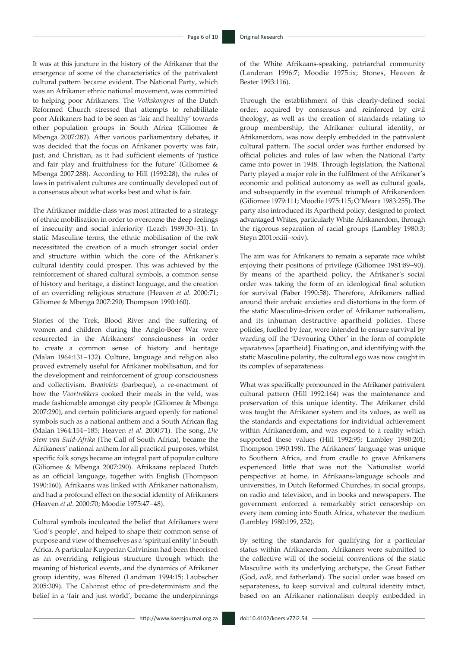It was at this juncture in the history of the Afrikaner that the emergence of some of the characteristics of the patrivalent cultural pattern became evident. The National Party, which was an Afrikaner ethnic national movement, was committed to helping poor Afrikaners. The *Volkskongres* of the Dutch Reformed Church stressed that attempts to rehabilitate poor Afrikaners had to be seen as 'fair and healthy' towards other population groups in South Africa (Giliomee & Mbenga 2007:282). After various parliamentary debates, it was decided that the focus on Afrikaner poverty was fair, just, and Christian, as it had sufficient elements of 'justice and fair play and fruitfulness for the future' (Giliomee & Mbenga 2007:288). According to Hill (1992:28), the rules of laws in patrivalent cultures are continually developed out of a consensus about what works best and what is fair.

The Afrikaner middle-class was most attracted to a strategy of ethnic mobilisation in order to overcome the deep feelings of insecurity and social inferiority (Leach 1989:30−31). In static Masculine terms, the ethnic mobilisation of the *volk* necessitated the creation of a much stronger social order and structure within which the core of the Afrikaner's cultural identity could prosper. This was achieved by the reinforcement of shared cultural symbols, a common sense of history and heritage, a distinct language, and the creation of an overriding religious structure (Heaven *et al.* 2000:71; Giliomee & Mbenga 2007:290; Thompson 1990:160).

Stories of the Trek, Blood River and the suffering of women and children during the Anglo-Boer War were resurrected in the Afrikaners' consciousness in order to create a common sense of history and heritage (Malan 1964:131−132). Culture, language and religion also proved extremely useful for Afrikaner mobilisation, and for the development and reinforcement of group consciousness and collectivism. *Braaivleis* (barbeque), a re-enactment of how the *Voortrekkers* cooked their meals in the veld, was made fashionable amongst city people (Giliomee & Mbenga 2007:290), and certain politicians argued openly for national symbols such as a national anthem and a South African flag (Malan 1964:154−185; Heaven *et al.* 2000:71). The song, *Die Stem van Suid-Afrika* (The Call of South Africa), became the Afrikaners' national anthem for all practical purposes, whilst specific folk songs became an integral part of popular culture (Giliomee & Mbenga 2007:290). Afrikaans replaced Dutch as an official language, together with English (Thompson 1990:160). Afrikaans was linked with Afrikaner nationalism, and had a profound effect on the social identity of Afrikaners (Heaven *et al*. 2000:70; Moodie 1975:47−48).

Cultural symbols inculcated the belief that Afrikaners were 'God's people', and helped to shape their common sense of purpose and view of themselves as a 'spiritual entity' in South Africa. A particular Kuyperian Calvinism had been theorised as an overriding religious structure through which the meaning of historical events, and the dynamics of Afrikaner group identity, was filtered (Landman 1994:15; Laubscher 2005:309). The Calvinist ethic of pre-determinism and the belief in a 'fair and just world', became the underpinnings

of the White Afrikaans-speaking, patriarchal community (Landman 1996:7; Moodie 1975:ix; Stones, Heaven & Bester 1993:116).

Through the establishment of this clearly-defined social order, acquired by consensus and reinforced by civil theology, as well as the creation of standards relating to group membership, the Afrikaner cultural identity, or Afrikanerdom, was now deeply embedded in the patrivalent cultural pattern. The social order was further endorsed by official policies and rules of law when the National Party came into power in 1948. Through legislation, the National Party played a major role in the fulfilment of the Afrikaner's economic and political autonomy as well as cultural goals, and subsequently in the eventual triumph of Afrikanerdom (Giliomee 1979:111; Moodie 1975:115; O'Meara 1983:255). The party also introduced its Apartheid policy, designed to protect advantaged Whites, particularly White Afrikanerdom, through the rigorous separation of racial groups (Lambley 1980:3; Steyn 2001:xxiii−xxiv).

The aim was for Afrikaners to remain a separate race whilst enjoying their positions of privilege (Giliomee 1981:89−90). By means of the apartheid policy, the Afrikaner's social order was taking the form of an ideological final solution for survival (Faber 1990:58). Therefore, Afrikaners rallied around their archaic anxieties and distortions in the form of the static Masculine-driven order of Afrikaner nationalism, and its inhuman destructive apartheid policies. These policies, fuelled by fear, were intended to ensure survival by warding off the 'Devouring Other' in the form of complete *separateness* [apartheid]. Fixating on, and identifying with the static Masculine polarity, the cultural ego was now caught in its complex of separateness.

What was specifically pronounced in the Afrikaner patrivalent cultural pattern (Hill 1992:164) was the maintenance and preservation of this unique identity. The Afrikaner child was taught the Afrikaner system and its values, as well as the standards and expectations for individual achievement within Afrikanerdom, and was exposed to a reality which supported these values (Hill 1992:95; Lambley 1980:201; Thompson 1990:198). The Afrikaners' language was unique to Southern Africa, and from cradle to grave Afrikaners experienced little that was not the Nationalist world perspective: at home, in Afrikaans-language schools and universities, in Dutch Reformed Churches, in social groups, on radio and television, and in books and newspapers. The government enforced a remarkably strict censorship on every item coming into South Africa, whatever the medium (Lambley 1980:199, 252).

By setting the standards for qualifying for a particular status within Afrikanerdom, Afrikaners were submitted to the collective will of the societal conventions of the static Masculine with its underlying archetype, the Great Father (God, *volk,* and fatherland). The social order was based on separateness, to keep survival and cultural identity intact, based on an Afrikaner nationalism deeply embedded in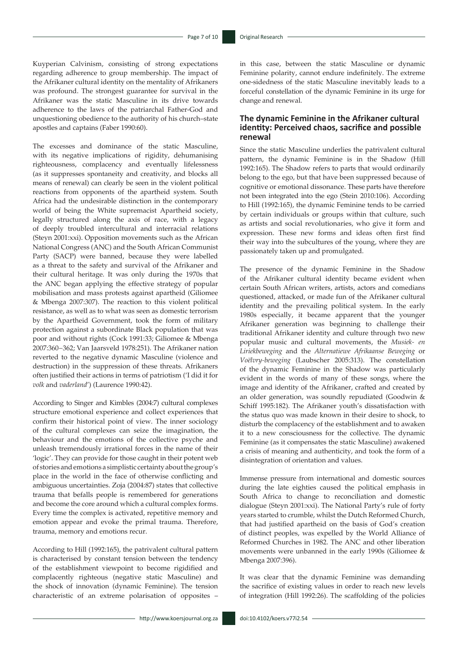Kuyperian Calvinism, consisting of strong expectations regarding adherence to group membership. The impact of the Afrikaner cultural identity on the mentality of Afrikaners was profound. The strongest guarantee for survival in the Afrikaner was the static Masculine in its drive towards adherence to the laws of the patriarchal Father-God and unquestioning obedience to the authority of his church–state apostles and captains (Faber 1990:60).

The excesses and dominance of the static Masculine, with its negative implications of rigidity, dehumanising righteousness, complacency and eventually lifelessness (as it suppresses spontaneity and creativity, and blocks all means of renewal) can clearly be seen in the violent political reactions from opponents of the apartheid system. South Africa had the undesirable distinction in the contemporary world of being the White supremacist Apartheid society, legally structured along the axis of race, with a legacy of deeply troubled intercultural and interracial relations (Steyn 2001:xxi). Opposition movements such as the African National Congress (ANC) and the South African Communist Party (SACP) were banned, because they were labelled as a threat to the safety and survival of the Afrikaner and their cultural heritage. It was only during the 1970s that the ANC began applying the effective strategy of popular mobilisation and mass protests against apartheid (Giliomee & Mbenga 2007:307). The reaction to this violent political resistance, as well as to what was seen as domestic terrorism by the Apartheid Government, took the form of military protection against a subordinate Black population that was poor and without rights (Cock 1991:33; Giliomee & Mbenga 2007:360−362; Van Jaarsveld 1978:251). The Afrikaner nation reverted to the negative dynamic Masculine (violence and destruction) in the suppression of these threats. Afrikaners often justified their actions in terms of patriotism ('I did it for *volk* and *vaderland*') (Laurence 1990:42).

According to Singer and Kimbles (2004:7) cultural complexes structure emotional experience and collect experiences that confirm their historical point of view. The inner sociology of the cultural complexes can seize the imagination, the behaviour and the emotions of the collective psyche and unleash tremendously irrational forces in the name of their 'logic'. They can provide for those caught in their potent web of stories and emotions a simplistic certainty about the group's place in the world in the face of otherwise conflicting and ambiguous uncertainties. Zoja (2004:87) states that collective trauma that befalls people is remembered for generations and become the core around which a cultural complex forms. Every time the complex is activated, repetitive memory and emotion appear and evoke the primal trauma. Therefore, trauma, memory and emotions recur.

According to Hill (1992:165), the patrivalent cultural pattern is characterised by constant tension between the tendency of the establishment viewpoint to become rigidified and complacently righteous (negative static Masculine) and the shock of innovation (dynamic Feminine). The tension characteristic of an extreme polarisation of opposites –

in this case, between the static Masculine or dynamic Feminine polarity, cannot endure indefinitely. The extreme one-sidedness of the static Masculine inevitably leads to a forceful constellation of the dynamic Feminine in its urge for change and renewal.

### **The dynamic Feminine in the Afrikaner cultural identity: Perceived chaos, sacrifice and possible renewal**

Since the static Masculine underlies the patrivalent cultural pattern, the dynamic Feminine is in the Shadow (Hill 1992:165). The Shadow refers to parts that would ordinarily belong to the ego, but that have been suppressed because of cognitive or emotional dissonance. These parts have therefore not been integrated into the ego (Stein 2010:106). According to Hill (1992:165), the dynamic Feminine tends to be carried by certain individuals or groups within that culture, such as artists and social revolutionaries, who give it form and expression. These new forms and ideas often first find their way into the subcultures of the young, where they are passionately taken up and promulgated.

The presence of the dynamic Feminine in the Shadow of the Afrikaner cultural identity became evident when certain South African writers, artists, actors and comedians questioned, attacked, or made fun of the Afrikaner cultural identity and the prevailing political system. In the early 1980s especially, it became apparent that the younger Afrikaner generation was beginning to challenge their traditional Afrikaner identity and culture through two new popular music and cultural movements, the *Musiek- en Liriekbeweging* and the *Alternatiewe Afrikaanse Beweging* or *Voëlvry-beweging* (Laubscher 2005:313). The constellation of the dynamic Feminine in the Shadow was particularly evident in the words of many of these songs, where the image and identity of the Afrikaner, crafted and created by an older generation, was soundly repudiated (Goodwin & Schiff 1995:182). The Afrikaner youth's dissatisfaction with the status quo was made known in their desire to shock, to disturb the complacency of the establishment and to awaken it to a new consciousness for the collective. The dynamic Feminine (as it compensates the static Masculine) awakened a crisis of meaning and authenticity, and took the form of a disintegration of orientation and values.

Immense pressure from international and domestic sources during the late eighties caused the political emphasis in South Africa to change to reconciliation and domestic dialogue (Steyn 2001:xxi). The National Party's rule of forty years started to crumble, whilst the Dutch Reformed Church, that had justified apartheid on the basis of God's creation of distinct peoples, was expelled by the World Alliance of Reformed Churches in 1982. The ANC and other liberation movements were unbanned in the early 1990s (Giliomee & Mbenga 2007:396).

It was clear that the dynamic Feminine was demanding the sacrifice of existing values in order to reach new levels of integration (Hill 1992:26). The scaffolding of the policies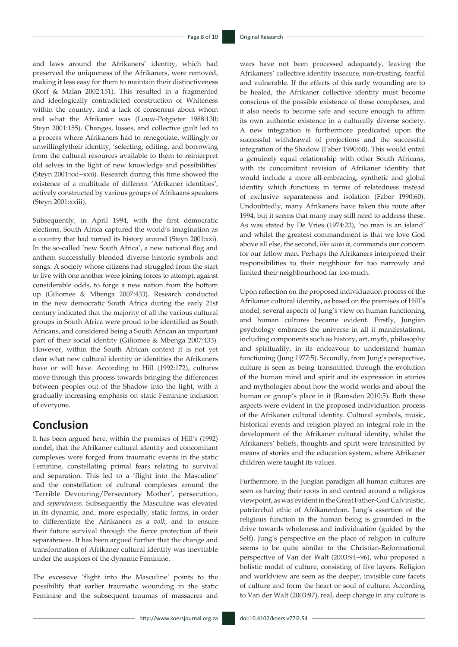and laws around the Afrikaners' identity, which had preserved the uniqueness of the Afrikaners, were removed, making it less easy for them to maintain their distinctiveness (Korf & Malan 2002:151). This resulted in a fragmented and ideologically contradicted construction of Whiteness within the country, and a lack of consensus about whom and what the Afrikaner was (Louw-Potgieter 1988:130; Steyn 2001:155). Changes, losses, and collective guilt led to a process where Afrikaners had to renegotiate, willingly or unwillinglytheir identity, 'selecting, editing, and borrowing from the cultural resources available to them to reinterpret old selves in the light of new knowledge and possibilities' (Steyn 2001:xxi−xxii). Research during this time showed the existence of a multitude of different 'Afrikaner identities', actively constructed by various groups of Afrikaans speakers (Steyn 2001:xxiii).

Subsequently, in April 1994, with the first democratic elections, South Africa captured the world's imagination as a country that had turned its history around (Steyn 2001:xxi). In the so-called 'new South Africa', a new national flag and anthem successfully blended diverse historic symbols and songs. A society whose citizens had struggled from the start to live with one another were joining forces to attempt, against considerable odds, to forge a new nation from the bottom up (Giliomee & Mbenga 2007:433). Research conducted in the new democratic South Africa during the early 21st century indicated that the majority of all the various cultural groups in South Africa were proud to be identified as South Africans, and considered being a South African an important part of their social identity (Giliomee & Mbenga 2007:433). However, within the South African context it is not yet clear what new cultural identity or identities the Afrikaners have or will have. According to Hill (1992:172), cultures move through this process towards bringing the differences between peoples out of the Shadow into the light, with a gradually increasing emphasis on static Feminine inclusion of everyone.

### **Conclusion**

It has been argued here, within the premises of Hill's (1992) model, that the Afrikaner cultural identity and concomitant complexes were forged from traumatic events in the static Feminine, constellating primal fears relating to survival and separation. This led to a 'flight into the Masculine' and the constellation of cultural complexes around the 'Terrible Devouring/Persecutory Mother', persecution, and *separateness.* Subsequently the Masculine was elevated in its dynamic, and, more especially, static forms, in order to differentiate the Afrikaners as a *volk,* and to ensure their future survival through the fierce protection of their separateness. It has been argued further that the change and transformation of Afrikaner cultural identity was inevitable under the auspices of the dynamic Feminine.

The excessive 'flight into the Masculine' points to the possibility that earlier traumatic wounding in the static Feminine and the subsequent traumas of massacres and

wars have not been processed adequately, leaving the Afrikaners' collective identity insecure, non-trusting, fearful and vulnerable. If the effects of this early wounding are to be healed, the Afrikaner collective identity must become conscious of the possible existence of these complexes, and it also needs to become safe and secure enough to affirm its own authentic existence in a culturally diverse society. A new integration is furthermore predicated upon the successful withdrawal of projections and the successful integration of the Shadow (Faber 1990:60). This would entail a genuinely equal relationship with other South Africans, with its concomitant revision of Afrikaner identity that would include a more all-embracing, synthetic and global identity which functions in terms of relatedness instead of exclusive separateness and isolation (Faber 1990:60). Undoubtedly, many Afrikaners have taken this route after 1994, but it seems that many may still need to address these. As was stated by De Vries (1974:23), 'no man is an island' and whilst the greatest commandment is that we love God above all else, the second, *like unto it*, commands our concern for our fellow man. Perhaps the Afrikaners interpreted their responsibilities to their neighbour far too narrowly and limited their neighbourhood far too much.

Upon reflection on the proposed individuation process of the Afrikaner cultural identity, as based on the premises of Hill's model, several aspects of Jung's view on human functioning and human cultures became evident. Firstly, Jungian psychology embraces the universe in all it manifestations, including components such as history, art, myth, philosophy and spirituality, in its endeavour to understand human functioning (Jung 1977:5). Secondly, from Jung's perspective, culture is seen as being transmitted through the evolution of the human mind and spirit and its expression in stories and mythologies about how the world works and about the human or group's place in it (Ramsden 2010:5). Both these aspects were evident in the proposed individuation process of the Afrikaner cultural identity. Cultural symbols, music, historical events and religion played an integral role in the development of the Afrikaner cultural identity, whilst the Afrikaners' beliefs, thoughts and spirit were transmitted by means of stories and the education system, where Afrikaner children were taught its values.

Furthermore, in the Jungian paradigm all human cultures are seen as having their roots in and centred around a religious viewpoint, as was evident in the Great Father-God Calvinistic, patriarchal ethic of Afrikanerdom. Jung's assertion of the religious function in the human being is grounded in the drive towards wholeness and individuation (guided by the Self). Jung's perspective on the place of religion in culture seems to be quite similar to the Christian-Reformational perspective of Van der Walt (2003:94−96), who proposed a holistic model of culture, consisting of five layers. Religion and worldview are seen as the deeper, invisible core facets of culture and form the heart or soul of culture. According to Van der Walt (2003:97), real, deep change in any culture is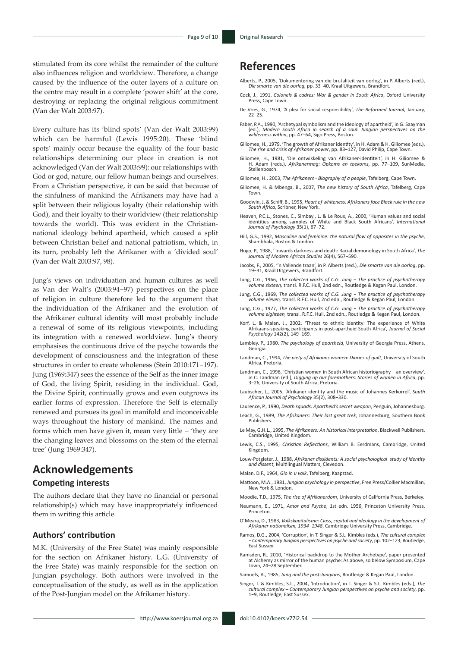stimulated from its core whilst the remainder of the culture also influences religion and worldview. Therefore, a change caused by the influence of the outer layers of a culture on the centre may result in a complete 'power shift' at the core, destroying or replacing the original religious commitment (Van der Walt 2003:97).

Every culture has its 'blind spots' (Van der Walt 2003:99) which can be harmful (Lewis 1995:20). These 'blind spots' mainly occur because the equality of the four basic relationships determining our place in creation is not acknowledged (Van der Walt 2003:99): our relationships with God or god, nature, our fellow human beings and ourselves. From a Christian perspective, it can be said that because of the sinfulness of mankind the Afrikaners may have had a split between their religious loyalty (their relationship with God), and their loyalty to their worldview (their relationship towards the world). This was evident in the Christiannational ideology behind apartheid, which caused a split between Christian belief and national patriotism, which, in its turn, probably left the Afrikaner with a 'divided soul' (Van der Walt 2003:97, 98).

Jung's views on individuation and human cultures as well as Van der Walt's (2003:94−97) perspectives on the place of religion in culture therefore led to the argument that the individuation of the Afrikaner and the evolution of the Afrikaner cultural identity will most probably include a renewal of some of its religious viewpoints, including its integration with a renewed worldview. Jung's theory emphasises the continuous drive of the psyche towards the development of consciousness and the integration of these structures in order to create wholeness (Stein 2010:171−197). Jung (1969:347) sees the essence of the Self as the inner image of God, the living Spirit, residing in the individual. God, the Divine Spirit, continually grows and even outgrows its earlier forms of expression. Therefore the Self is eternally renewed and pursues its goal in manifold and inconceivable ways throughout the history of mankind. The names and forms which men have given it, mean very little − 'they are the changing leaves and blossoms on the stem of the eternal tree' (Jung 1969:347).

# **Acknowledgements**

### **Competing interests**

The authors declare that they have no financial or personal relationship(s) which may have inappropriately influenced them in writing this article.

### **Authors' contribution**

M.K. (University of the Free State) was mainly responsible for the section on Afrikaner history. L.G. (University of the Free State) was mainly responsible for the section on Jungian psychology. Both authors were involved in the conceptualisation of the study, as well as in the application of the Post-Jungian model on the Afrikaner history.

### **References**

- Alberts, P., 2005, 'Dokumentering van die brutaliteit van oorlog', in P. Alberts (red.), *Die smarte van die oorlog,* pp. 33−40, Kraal Uitgewers, Brandfort.
- Cock, J., 1991, *Colonels & cadres: War & gender in South Africa*, Oxford University Press, Cape Town.
- De Vries, G., 1974, 'A plea for social responsibility', *The Reformed Journal,* January, 22−25.
- Faber, P.A., 1990, 'Archetypal symbolism and the ideology of apartheid', in G. Saayman (ed.), *Modern South Africa in search of a soul*: *Jungian perspectives on the wilderness within*, pp. 47−64, Sigo Press, Boston.
- Giliomee, H., 1979, 'The growth of Afrikaner identity', in H. Adam & H. Giliomee (eds.), *The rise and crisis of Afrikaner power*, pp. 83−127, David Philip, Cape Town.
- Giliomee, H., 1981, 'Die ontwikkeling van Afrikaner-identiteit', in H. Giliomee & H. Adam (reds.), *Afrikanermag: Opkoms en toekoms,* pp. 77−109, SunMedia, Stellenbosch.
- Giliomee, H., 2003, *The Afrikaners Biography of a people*, Tafelberg, Cape Town.
- Giliomee, H. & Mbenga, B., 2007, *The new history of South Africa*, Tafelberg, Cape Town.
- Goodwin, J. & Schiff, B., 1995, *Heart of whiteness: Afrikaners face Black rule in the new South Africa*, Scribner, New York.
- Heaven, P.C.L., Stones, C., Simbayi, L. & Le Roux, A., 2000, 'Human values and social identities among samples of White and Black South Africans', *International Journal of Psychology* 35(1), 67−72.
- Hill, G.S., 1992, *Masculine and feminine: the natural flow of opposites in the psyche*, Shambhala, Boston & London.
- Hugo, P., 1988, 'Towards darkness and death: Racial demonology in South Africa', *The Journal of Modern African Studies* 26(4), 567−590.
- Jacobs, F., 2005, ''n Vallende traan', in P. Alberts (red.), *Die smarte van die oorlog*, pp. 19−31, Kraal Uitgewers, Brandfort.
- Jung, C.G., 1966, *The collected works of C.G. Jung − The practice of psychotherapy volume sixteen,* transl. R.F.C. Hull, 2nd edn., Routledge & Kegan Paul, London.
- Jung, C.G., 1969, *The collected works of C.G. Jung − The practice of psychotherapy volume eleven,* transl. R.F.C. Hull, 2nd edn., Routledge & Kegan Paul, London.
- Jung, C.G., 1977, *The collected works of C.G. Jung − The practice of psychotherapy volume eighteen,* transl. R.F.C. Hull, 2nd edn., Routledge & Kegan Paul, London.
- Korf, L. & Malan, J., 2002, 'Threat to ethnic identity: The experience of White Afrikaans-speaking participants in post-apartheid South Africa', *Journal of Social Psychology* 142(2), 149−169.
- Lambley, P., 1980, *The psychology of apartheid*, University of Georgia Press, Athens, **Georgia**
- Landman, C., 1994, *The piety of Afrikaans women: Diaries of guilt*, University of South Africa, Pretoria.
- Landman, C., 1996, 'Christian women in South African historiography − an overview', in C. Landman (ed.), *Digging up our foremothers: Stories of women in Africa*, pp. 3−26, University of South Africa, Pretoria.
- Laubscher, L., 2005, 'Afrikaner identity and the music of Johannes Kerkorrel', *South African Journal of Psychology* 35(2), 308−330.
- Laurence, P., 1990, *Death squads: Apartheid's secret weapon*, Penguin, Johannesburg.
- Leach, G., 1989, *The Afrikaners: Their last great trek*, Johannesburg, Southern Book Publishers.
- Le May, G.H.L., 1995, *The Afrikaners: An historical interpretation*, Blackwell Publishers, Cambridge, United Kingdom.
- Lewis, C.S., 1995, *Christian Reflections*, William B. Eerdmans, Cambridge, United Kingdom.
- Louw-Potgieter, J., 1988, *Afrikaner dissidents: A social psychological study of identity and dissent*, Multilingual Matters, Clevedon.
- Malan, D.F., 1964, *Glo in u volk*, Tafelberg, Kaapstad.
- Mattoon, M.A., 1981, *Jungian psychology in perspective*, Free Press/Collier Macmillan, New York & London.
- Moodie, T.D., 1975, *The rise of Afrikanerdom*, University of California Press, Berkeley.
- Neumann, E., 1971, *Amor and Psyche*, 1st edn. 1956, Princeton University Press, **Princeton**
- O'Meara, D., 1983, *Volkskapitalisme: Class, capital and ideology in the development of Afrikaner nationalism, 1934−1948*, Cambridge University Press, Cambridge.
- Ramos, D.G., 2004, 'Corruption', in T. Singer & S.L. Kimbles (eds.), *The cultural complex − Contemporary Jungian perspectives on psyche and society*, pp. 102−123, Routledge, East Sussex.
- Ramsden, R., 2010, 'Historical backdrop to the Mother Archetype', paper presented at Alchemy as mirror of the human psyche: As above, so below Symposium, Cape Town, 24–28 September.
- Samuels, A., 1985, *Jung and the post-Jungians*, Routledge & Kegan Paul, London.
- Singer, T. & Kimbles, S.L., 2004, 'Introduction', in T. Singer & S.L. Kimbles (eds.), *The cultural complex – Contemporary Jungian perspectives on psyche and society*, pp. 1−9, Routledge, East Sussex.